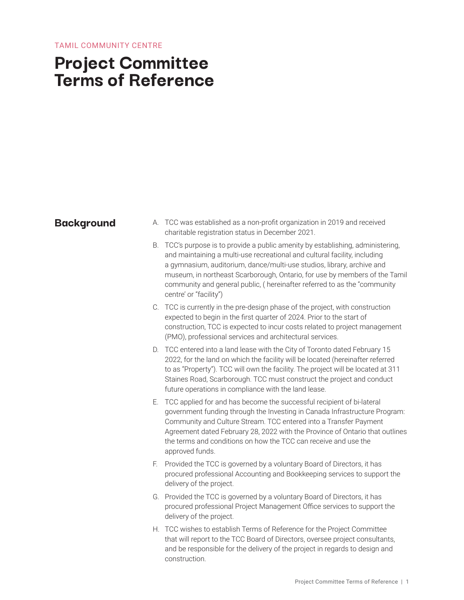#### TAMIL COMMUNITY CENTRE

## **Project Committee Terms of Reference**

- **Background** A. TCC was established as a non-profit organization in 2019 and received charitable registration status in December 2021.
	- B. TCC's purpose is to provide a public amenity by establishing, administering, and maintaining a multi-use recreational and cultural facility, including a gymnasium, auditorium, dance/multi-use studios, library, archive and museum, in northeast Scarborough, Ontario, for use by members of the Tamil community and general public, ( hereinafter referred to as the "community centre' or "facility")
	- C. TCC is currently in the pre-design phase of the project, with construction expected to begin in the first quarter of 2024. Prior to the start of construction, TCC is expected to incur costs related to project management (PMO), professional services and architectural services.
	- D. TCC entered into a land lease with the City of Toronto dated February 15 2022, for the land on which the facility will be located (hereinafter referred to as "Property"). TCC will own the facility. The project will be located at 311 Staines Road, Scarborough. TCC must construct the project and conduct future operations in compliance with the land lease.
	- E. TCC applied for and has become the successful recipient of bi-lateral government funding through the Investing in Canada Infrastructure Program: Community and Culture Stream. TCC entered into a Transfer Payment Agreement dated February 28, 2022 with the Province of Ontario that outlines the terms and conditions on how the TCC can receive and use the approved funds.
	- F. Provided the TCC is governed by a voluntary Board of Directors, it has procured professional Accounting and Bookkeeping services to support the delivery of the project.
	- G. Provided the TCC is governed by a voluntary Board of Directors, it has procured professional Project Management Office services to support the delivery of the project.
	- H. TCC wishes to establish Terms of Reference for the Project Committee that will report to the TCC Board of Directors, oversee project consultants, and be responsible for the delivery of the project in regards to design and construction.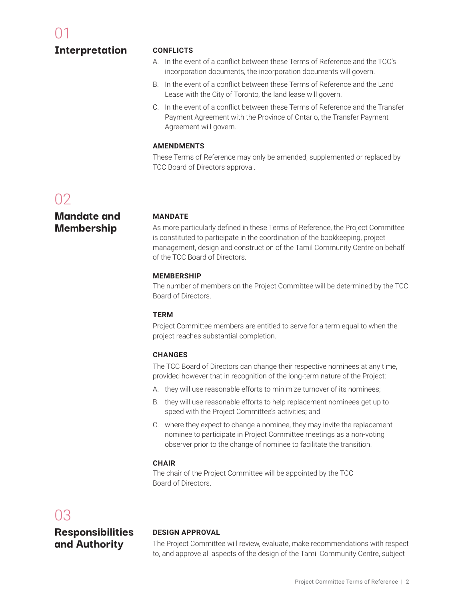**Interpretation**

#### **CONFLICTS**

- A. In the event of a conflict between these Terms of Reference and the TCC's incorporation documents, the incorporation documents will govern.
- B. In the event of a conflict between these Terms of Reference and the Land Lease with the City of Toronto, the land lease will govern.
- C. In the event of a conflict between these Terms of Reference and the Transfer Payment Agreement with the Province of Ontario, the Transfer Payment Agreement will govern.

#### **AMENDMENTS**

These Terms of Reference may only be amended, supplemented or replaced by TCC Board of Directors approval.

## $02$

#### **Mandate and Membership**

#### **MANDATE**

As more particularly defined in these Terms of Reference, the Project Committee is constituted to participate in the coordination of the bookkeeping, project management, design and construction of the Tamil Community Centre on behalf of the TCC Board of Directors.

#### **MEMBERSHIP**

The number of members on the Project Committee will be determined by the TCC Board of Directors.

#### **TERM**

Project Committee members are entitled to serve for a term equal to when the project reaches substantial completion.

#### **CHANGES**

The TCC Board of Directors can change their respective nominees at any time, provided however that in recognition of the long-term nature of the Project:

- A. they will use reasonable efforts to minimize turnover of its nominees;
- B. they will use reasonable efforts to help replacement nominees get up to speed with the Project Committee's activities; and
- C. where they expect to change a nominee, they may invite the replacement nominee to participate in Project Committee meetings as a non-voting observer prior to the change of nominee to facilitate the transition.

#### **CHAIR**

The chair of the Project Committee will be appointed by the TCC Board of Directors.

## 03

### **Responsibilities and Authority**

#### **DESIGN APPROVAL**

The Project Committee will review, evaluate, make recommendations with respect to, and approve all aspects of the design of the Tamil Community Centre, subject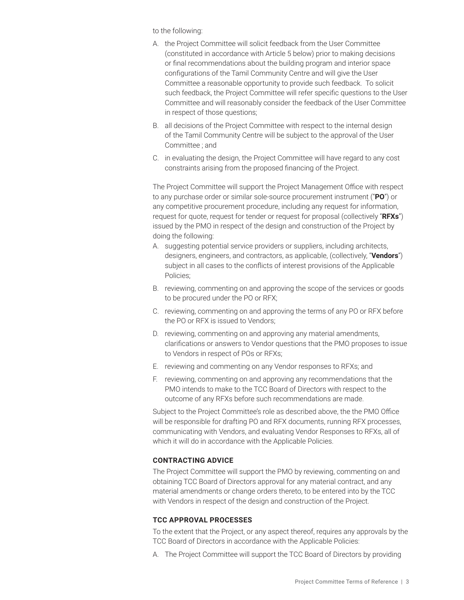to the following:

- A. the Project Committee will solicit feedback from the User Committee (constituted in accordance with Article 5 below) prior to making decisions or final recommendations about the building program and interior space configurations of the Tamil Community Centre and will give the User Committee a reasonable opportunity to provide such feedback. To solicit such feedback, the Project Committee will refer specific questions to the User Committee and will reasonably consider the feedback of the User Committee in respect of those questions;
- B. all decisions of the Project Committee with respect to the internal design of the Tamil Community Centre will be subject to the approval of the User Committee ; and
- C. in evaluating the design, the Project Committee will have regard to any cost constraints arising from the proposed financing of the Project.

The Project Committee will support the Project Management Office with respect to any purchase order or similar sole-source procurement instrument ("**PO**") or any competitive procurement procedure, including any request for information, request for quote, request for tender or request for proposal (collectively "**RFXs**") issued by the PMO in respect of the design and construction of the Project by doing the following:

- A. suggesting potential service providers or suppliers, including architects, designers, engineers, and contractors, as applicable, (collectively, "**Vendors**") subject in all cases to the conflicts of interest provisions of the Applicable Policies;
- B. reviewing, commenting on and approving the scope of the services or goods to be procured under the PO or RFX;
- C. reviewing, commenting on and approving the terms of any PO or RFX before the PO or RFX is issued to Vendors;
- D. reviewing, commenting on and approving any material amendments, clarifications or answers to Vendor questions that the PMO proposes to issue to Vendors in respect of POs or RFXs;
- E. reviewing and commenting on any Vendor responses to RFXs; and
- F. reviewing, commenting on and approving any recommendations that the PMO intends to make to the TCC Board of Directors with respect to the outcome of any RFXs before such recommendations are made.

Subject to the Project Committee's role as described above, the the PMO Office will be responsible for drafting PO and RFX documents, running RFX processes, communicating with Vendors, and evaluating Vendor Responses to RFXs, all of which it will do in accordance with the Applicable Policies.

#### **CONTRACTING ADVICE**

The Project Committee will support the PMO by reviewing, commenting on and obtaining TCC Board of Directors approval for any material contract, and any material amendments or change orders thereto, to be entered into by the TCC with Vendors in respect of the design and construction of the Project.

#### **TCC APPROVAL PROCESSES**

To the extent that the Project, or any aspect thereof, requires any approvals by the TCC Board of Directors in accordance with the Applicable Policies:

A. The Project Committee will support the TCC Board of Directors by providing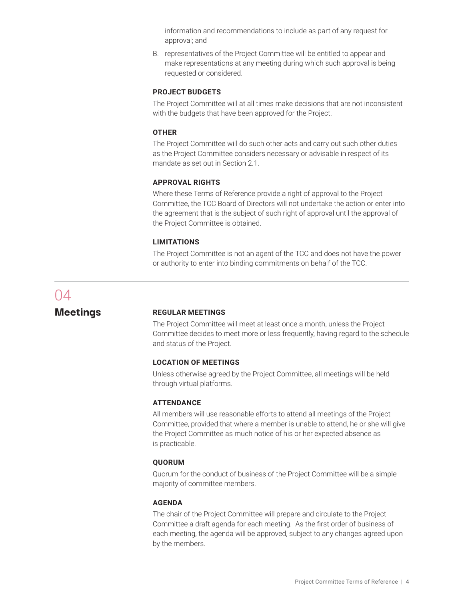information and recommendations to include as part of any request for approval; and

B. representatives of the Project Committee will be entitled to appear and make representations at any meeting during which such approval is being requested or considered.

#### **PROJECT BUDGETS**

The Project Committee will at all times make decisions that are not inconsistent with the budgets that have been approved for the Project.

#### **OTHER**

The Project Committee will do such other acts and carry out such other duties as the Project Committee considers necessary or advisable in respect of its mandate as set out in Section 2.1.

#### **APPROVAL RIGHTS**

Where these Terms of Reference provide a right of approval to the Project Committee, the TCC Board of Directors will not undertake the action or enter into the agreement that is the subject of such right of approval until the approval of the Project Committee is obtained.

#### **LIMITATIONS**

The Project Committee is not an agent of the TCC and does not have the power or authority to enter into binding commitments on behalf of the TCC.

# 04

#### **Meetings REGULAR MEETINGS**

The Project Committee will meet at least once a month, unless the Project Committee decides to meet more or less frequently, having regard to the schedule and status of the Project.

#### **LOCATION OF MEETINGS**

Unless otherwise agreed by the Project Committee, all meetings will be held through virtual platforms.

#### **ATTENDANCE**

All members will use reasonable efforts to attend all meetings of the Project Committee, provided that where a member is unable to attend, he or she will give the Project Committee as much notice of his or her expected absence as is practicable.

#### **QUORUM**

Quorum for the conduct of business of the Project Committee will be a simple majority of committee members.

#### **AGENDA**

The chair of the Project Committee will prepare and circulate to the Project Committee a draft agenda for each meeting. As the first order of business of each meeting, the agenda will be approved, subject to any changes agreed upon by the members.